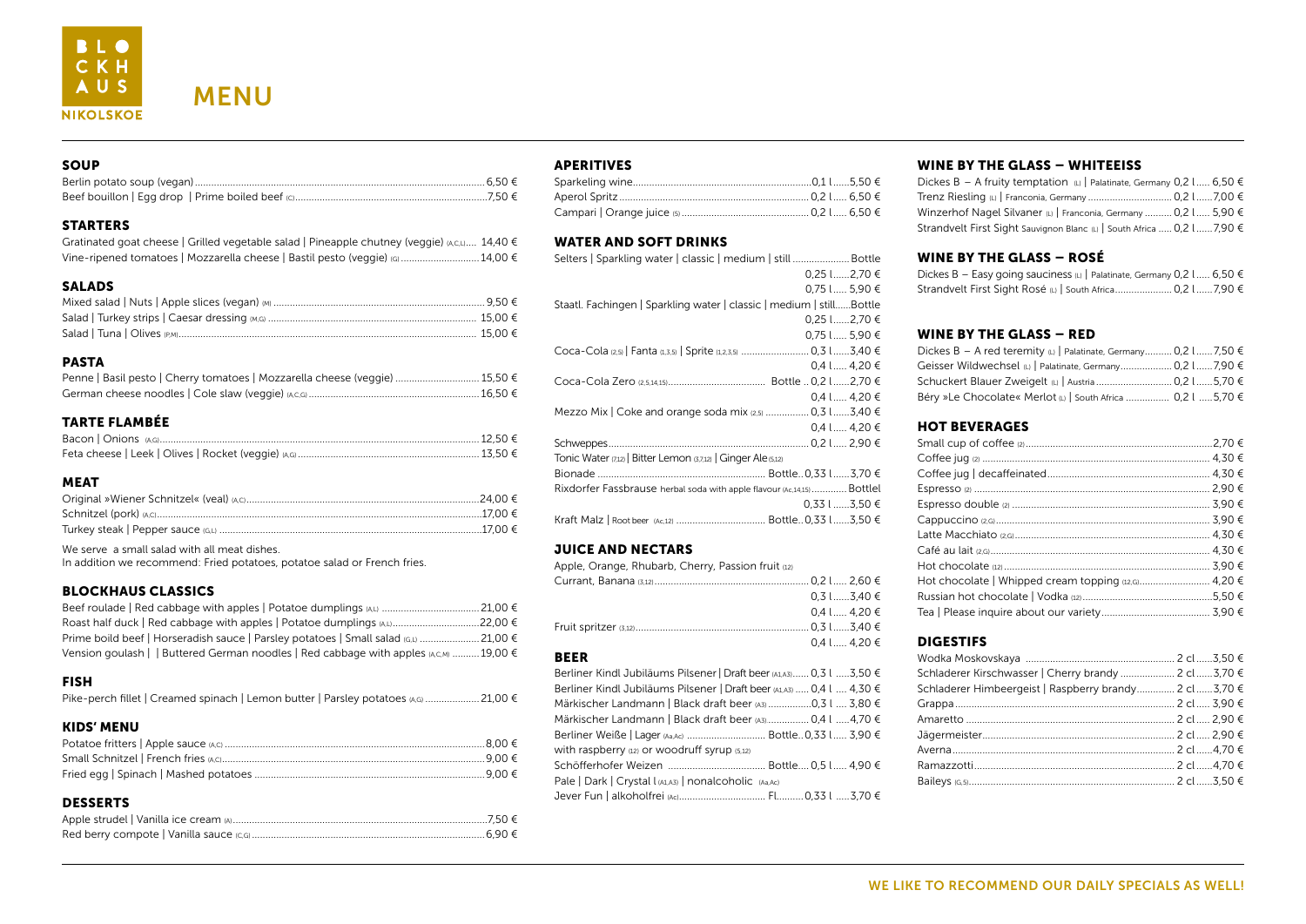### STARTERS

| Gratinated goat cheese   Grilled vegetable salad   Pineapple chutney (veggie) $(A,C, L)$ 14,40 $\in$ |  |
|------------------------------------------------------------------------------------------------------|--|
| Vine-ripened tomatoes   Mozzarella cheese   Bastil pesto (veggie) (G)  14,00 €                       |  |

# SALADS

#### PASTA

| Penne   Basil pesto   Cherry tomatoes   Mozzarella cheese (veggie)  15,50 € |  |
|-----------------------------------------------------------------------------|--|
|                                                                             |  |

#### TARTE FLAMBÉE

#### MEAT

We serve a small salad with all meat dishes.

In addition we recommend: Fried potatoes, potatoe salad or French fries.

#### BLOCKHAUS CLASSICS

| Prime boild beef   Horseradish sauce   Parsley potatoes   Small salad (G,L)  21,00 $\epsilon$ |  |
|-----------------------------------------------------------------------------------------------|--|
| Vension goulash     Buttered German noodles   Red cabbage with apples (A,C,M)  19,00 €        |  |

#### FISH

|  |  |  | Pike-perch fillet   Creamed spinach   Lemon butter   Parsley potatoes (A,G)  21,00 € |
|--|--|--|--------------------------------------------------------------------------------------|
|--|--|--|--------------------------------------------------------------------------------------|

#### KIDS' MENU

#### **DESSERTS**

#### APERITIVES

#### WATER AND SOFT DRINKS

| Selters   Sparkling water   classic   medium   still  Bottle           |
|------------------------------------------------------------------------|
| 0,25 l2,70 €                                                           |
| 0,75 l 5,90 €                                                          |
| Staatl. Fachingen   Sparkling water   classic   medium   stillBottle   |
| 0.25 L2.70 €                                                           |
| 0,75 l 5,90 €                                                          |
| Coca-Cola (2,5)   Fanta (1,3,5)   Sprite (1,2,3,5)  0,3 l3,40 €        |
| $0.4$ l  4.20 €                                                        |
|                                                                        |
| 0,4 l  4,20 €                                                          |
| Mezzo Mix   Coke and orange soda mix $(2,5)$ 0,3 l 3,40 €              |
| $0.4$ l  4.20 €                                                        |
|                                                                        |
| Tonic Water (7,12)   Bitter Lemon (3,7,12)   Ginger Ale (5,12)         |
|                                                                        |
| Rixdorfer Fassbrause herbal soda with apple flavour (Ac,14,15) Bottlel |
| $0.33$ l 3.50 €                                                        |
|                                                                        |

#### JUICE AND NECTARS

| Apple, Orange, Rhubarb, Cherry, Passion fruit (12) |                 |  |
|----------------------------------------------------|-----------------|--|
|                                                    |                 |  |
|                                                    | $0.3$ l 3,40 €  |  |
|                                                    | $0,4$ l  4,20 € |  |
|                                                    |                 |  |
|                                                    | $0,4$ l  4,20 € |  |

#### BEER

| Berliner Kindl Jubiläums Pilsener   Draft beer (A1,A3) 0,3 l 3,50 €   |
|-----------------------------------------------------------------------|
| Berliner Kindl Jubiläums Pilsener   Draft beer (A1,A3)  0,4 l  4,30 € |
| Märkischer Landmann   Black draft beer (A3) 0,3 l  3,80 €             |
| Märkischer Landmann   Black draft beer (A3) 0,4 l 4,70 €              |
|                                                                       |
| with raspberry (12) or woodruff syrup (5,12)                          |
|                                                                       |
| Pale   Dark   Crystal I (A1,A3)   nonalcoholic (Aa,Ac)                |
|                                                                       |

# WINE BY THE GLASS – WHITEEISS

# WINE BY THE GLASS – ROSÉ

Dickes  $B - E$ asy Strandvelt First

# WINE BY THE GLASS – RED

Dickes  $B - A$  re Geisser Wildw Schuckert Blau Béry »Le Choc

#### HOT BEVERAGES

Small cup of co Coffee jug (2) .. Coffee jug | de Espresso (2) .... Espresso doub Cappuccino (2, Latte Macchiat Café au lait (2,G) Hot chocolate Hot chocolate Russian hot ch Tea | Please in

# DIGESTIFS

| Schladerer Kirschwasser   Cherry brandy  2 cl 3,70 €  |  |
|-------------------------------------------------------|--|
| Schladerer Himbeergeist   Raspberry brandy 2 cl3,70 € |  |
|                                                       |  |
|                                                       |  |
|                                                       |  |
|                                                       |  |
|                                                       |  |
|                                                       |  |
|                                                       |  |

| Dickes B − A fruity temptation (L)   Palatinate, Germany 0,2 l 6,50 €    |  |
|--------------------------------------------------------------------------|--|
|                                                                          |  |
| Winzerhof Nagel Silvaner (L)   Franconia, Germany  0,2 l  5,90 €         |  |
| Strandvelt First Sight Sauvignon Blanc (L)   South Africa  0,2 l  7,90 € |  |

| y going sauciness (L)   Palatinate, Germany 0,2 l  6,50 € |  |  |
|-----------------------------------------------------------|--|--|
| t Sight Rosé (L)   South Africa 0,2 l 7,90 €              |  |  |

| red teremity (L)   Palatinate, Germany 0,2 l  7,50 € |  |
|------------------------------------------------------|--|
| rechsel (L)   Palatinate, Germany 0,2 l 7,90 €       |  |
|                                                      |  |
| colate« Merlot (L)   South Africa  0,2 l 5,70 €      |  |

| ole <mark>(2) …………………………………………………………… 3,90 €</mark> |  |
|-----------------------------------------------------|--|
|                                                     |  |
|                                                     |  |
|                                                     |  |
|                                                     |  |
|                                                     |  |
|                                                     |  |
|                                                     |  |
|                                                     |  |

# WE LIKE TO RECOMMEND OUR DAILY SPECIALS AS WELL!



MENU

#### **SOUP**